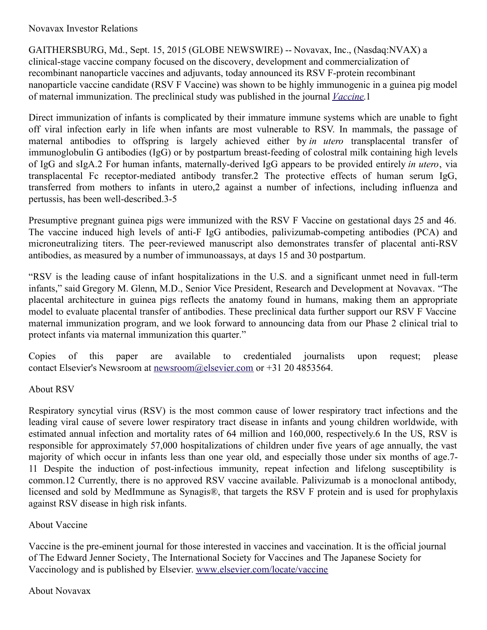## Novavax Investor Relations

GAITHERSBURG, Md., Sept. 15, 2015 (GLOBE NEWSWIRE) -- Novavax, Inc., (Nasdaq:NVAX) a clinical-stage vaccine company focused on the discovery, development and commercialization of recombinant nanoparticle vaccines and adjuvants, today announced its RSV F-protein recombinant nanoparticle vaccine candidate (RSV F Vaccine) was shown to be highly immunogenic in a guinea pig model of maternal immunization. The preclinical study was published in the journal *[Vaccine](http://www.globenewswire.com/Tracker?data=Hdq9_w4JSl4tXbbBeQWugXBu2sBCi40DuPDBab8lUYA9rPqkIirFlZKS7nLvpM11QgKt_iPrPkjL8AGNU_ef1LruG3SRBPBiz9SEJgoaw9cDSFWXhH9RTWDWRntglFcP)*.1

Direct immunization of infants is complicated by their immature immune systems which are unable to fight off viral infection early in life when infants are most vulnerable to RSV. In mammals, the passage of maternal antibodies to offspring is largely achieved either by *in utero* transplacental transfer of immunoglobulin G antibodies (IgG) or by postpartum breast-feeding of colostral milk containing high levels of IgG and sIgA.2 For human infants, maternally-derived IgG appears to be provided entirely *in utero*, via transplacental Fc receptor-mediated antibody transfer.2 The protective effects of human serum IgG, transferred from mothers to infants in utero,2 against a number of infections, including influenza and pertussis, has been well-described.3-5

Presumptive pregnant guinea pigs were immunized with the RSV F Vaccine on gestational days 25 and 46. The vaccine induced high levels of anti-F IgG antibodies, palivizumab-competing antibodies (PCA) and microneutralizing titers. The peer-reviewed manuscript also demonstrates transfer of placental anti-RSV antibodies, as measured by a number of immunoassays, at days 15 and 30 postpartum.

"RSV is the leading cause of infant hospitalizations in the U.S. and a significant unmet need in full-term infants," said Gregory M. Glenn, M.D., Senior Vice President, Research and Development at Novavax. "The placental architecture in guinea pigs reflects the anatomy found in humans, making them an appropriate model to evaluate placental transfer of antibodies. These preclinical data further support our RSV F Vaccine maternal immunization program, and we look forward to announcing data from our Phase 2 clinical trial to protect infants via maternal immunization this quarter."

Copies of this paper are available to credentialed journalists upon request; please contact Elsevier's Newsroom at [newsroom@elsevier.com](http://www.globenewswire.com/Tracker?data=ApU0sr9ivAJuLE-AZOga1K7kW0zTSQPcIFIDxYxor5bv5Xb9QiKJrNHWAq63HGkGOuKcW9Zcvya6009uzSa8NAnKMlvAlJaeaWrNXzR3w0M=) or +31 20 4853564.

## About RSV

Respiratory syncytial virus (RSV) is the most common cause of lower respiratory tract infections and the leading viral cause of severe lower respiratory tract disease in infants and young children worldwide, with estimated annual infection and mortality rates of 64 million and 160,000, respectively.6 In the US, RSV is responsible for approximately 57,000 hospitalizations of children under five years of age annually, the vast majority of which occur in infants less than one year old, and especially those under six months of age.7- 11 Despite the induction of post-infectious immunity, repeat infection and lifelong susceptibility is common.12 Currently, there is no approved RSV vaccine available. Palivizumab is a monoclonal antibody, licensed and sold by MedImmune as Synagis®, that targets the RSV F protein and is used for prophylaxis against RSV disease in high risk infants.

## About Vaccine

Vaccine is the pre-eminent journal for those interested in vaccines and vaccination. It is the official journal of The Edward Jenner Society, The International Society for Vaccines and The Japanese Society for Vaccinology and is published by Elsevier. [www.elsevier.com/locate/vaccine](http://www.globenewswire.com/Tracker?data=xfiYn1EB-jzSyIMySA8cBsyvZwo2WB5SH_5AwPktZmdCBA37bgii6sZqdYXomWAVZNdAT_hqoqc_p0OzQ0vbrDsnqPUYQBTFCnxUx5k1zaKtEDCFaWiBBofNudKqL-K2)

## About Novavax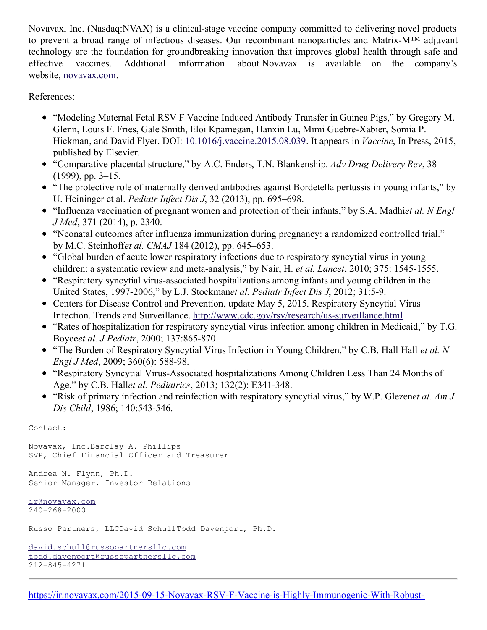Novavax, Inc. (Nasdaq:NVAX) is a clinical-stage vaccine company committed to delivering novel products to prevent a broad range of infectious diseases. Our recombinant nanoparticles and Matrix-M™ adjuvant technology are the foundation for groundbreaking innovation that improves global health through safe and effective vaccines. Additional information about Novavax is available on the company's website, [novavax.com](http://www.globenewswire.com/Tracker?data=-ZGKDEQH4pNZmVBhbqSMkm01OszSPs9RG0MPVmVnrRYWX6sn1n1CGyP1aUyVIsjaby_BVY8MTPQG5-C21nTpGQ==).

References:

- "Modeling Maternal Fetal RSV F Vaccine Induced Antibody Transfer in Guinea Pigs," by Gregory M. Glenn, Louis F. Fries, Gale Smith, Eloi Kpamegan, Hanxin Lu, Mimi Guebre-Xabier, Somia P. Hickman, and David Flyer. DOI: [10.1016/j.vaccine.2015.08.039](http://dx.doi.org/10.1016/j.vaccine.2015.08.039). It appears in *Vaccine*, In Press, 2015, published by Elsevier.
- "Comparative placental structure," by A.C. Enders, T.N. Blankenship. *Adv Drug Delivery Rev*, 38 (1999), pp. 3–15.
- "The protective role of maternally derived antibodies against Bordetella pertussis in young infants," by U. Heininger et al. *Pediatr Infect Dis J*, 32 (2013), pp. 695–698.
- "Influenza vaccination of pregnant women and protection of their infants," by S.A. Madhi*et al. N Engl J Med*, 371 (2014), p. 2340.
- "Neonatal outcomes after influenza immunization during pregnancy: a randomized controlled trial." by M.C. Steinhoff*et al. CMAJ* 184 (2012), pp. 645–653.
- "Global burden of acute lower respiratory infections due to respiratory syncytial virus in young children: a systematic review and meta-analysis," by Nair, H. *et al. Lancet*, 2010; 375: 1545-1555.
- "Respiratory syncytial virus-associated hospitalizations among infants and young children in the United States, 1997-2006," by L.J. Stockman*et al. Pediatr Infect Dis J*, 2012; 31:5-9.
- Centers for Disease Control and Prevention, update May 5, 2015. Respiratory Syncytial Virus Infection. Trends and Surveillance. <http://www.cdc.gov/rsv/research/us-surveillance.html>
- "Rates of hospitalization for respiratory syncytial virus infection among children in Medicaid," by T.G. Boyce*et al. J Pediatr*, 2000; 137:865-870.
- "The Burden of Respiratory Syncytial Virus Infection in Young Children," by C.B. Hall Hall *et al. N Engl J Med*, 2009; 360(6): 588-98.
- "Respiratory Syncytial Virus-Associated hospitalizations Among Children Less Than 24 Months of Age." by C.B. Hall*et al. Pediatrics*, 2013; 132(2): E341-348.
- "Risk of primary infection and reinfection with respiratory syncytial virus," by W.P. Glezen*et al. Am J Dis Child*, 1986; 140:543-546.

Contact:

Novavax, Inc.Barclay A. Phillips SVP, Chief Financial Officer and Treasurer

Andrea N. Flynn, Ph.D. Senior Manager, Investor Relations

[ir@novavax.com](mailto:ir@novavax.com) 240-268-2000

Russo Partners, LLCDavid SchullTodd Davenport, Ph.D.

```
david.schull@russopartnersllc.com
todd.davenport@russopartnersllc.com
212-845-4271
```